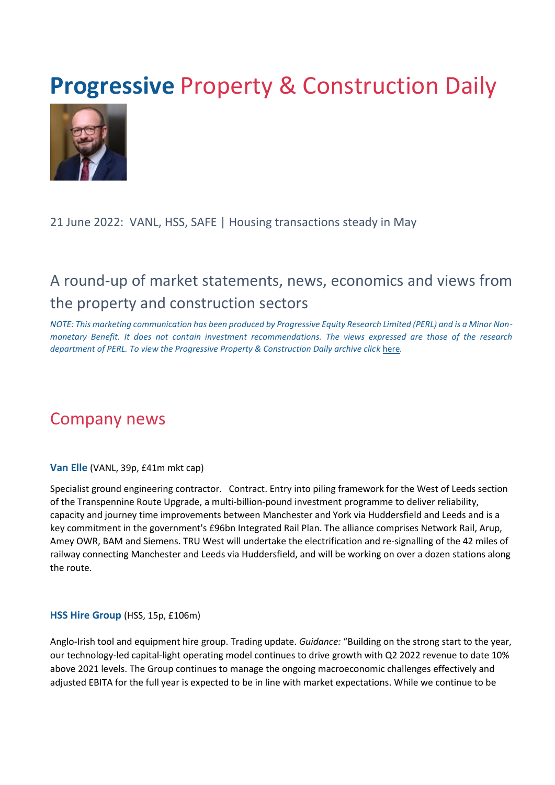# **Progressive Property & Construction Daily**



#### 21 June 2022: VANL, HSS, SAFE | Housing transactions steady in May

## A round-up of market statements, news, economics and views from the property and construction sectors

*NOTE: This marketing communication has been produced by Progressive Equity Research Limited (PERL) and is a Minor Nonmonetary Benefit. It does not contain investment recommendations. The views expressed are those of the research department of PERL. To view the Progressive Property & Construction Daily archive cli[ck](https://www.progressive-research.com/industry-updates/?analyst=§or=38&published=all) [here](https://www.progressive-research.com/industry-updates/?analyst=§or=38&published=all)[.](https://www.progressive-research.com/industry-updates/?analyst=§or=38&published=all)* 

### Company news

**Van Elle** (VANL, 39p, £41m mkt cap)

Specialist ground engineering contractor. Contract. Entry into piling framework for the West of Leeds section of the Transpennine Route Upgrade, a multi-billion-pound investment programme to deliver reliability, capacity and journey time improvements between Manchester and York via Huddersfield and Leeds and is a key commitment in the government's £96bn Integrated Rail Plan. The alliance comprises Network Rail, Arup, Amey OWR, BAM and Siemens. TRU West will undertake the electrification and re-signalling of the 42 miles of railway connecting Manchester and Leeds via Huddersfield, and will be working on over a dozen stations along the route.

#### **HSS Hire Group** (HSS, 15p, £106m)

Anglo-Irish tool and equipment hire group. Trading update. *Guidance:* "Building on the strong start to the year, our technology-led capital-light operating model continues to drive growth with Q2 2022 revenue to date 10% above 2021 levels. The Group continues to manage the ongoing macroeconomic challenges effectively and adjusted EBITA for the full year is expected to be in line with market expectations. While we continue to be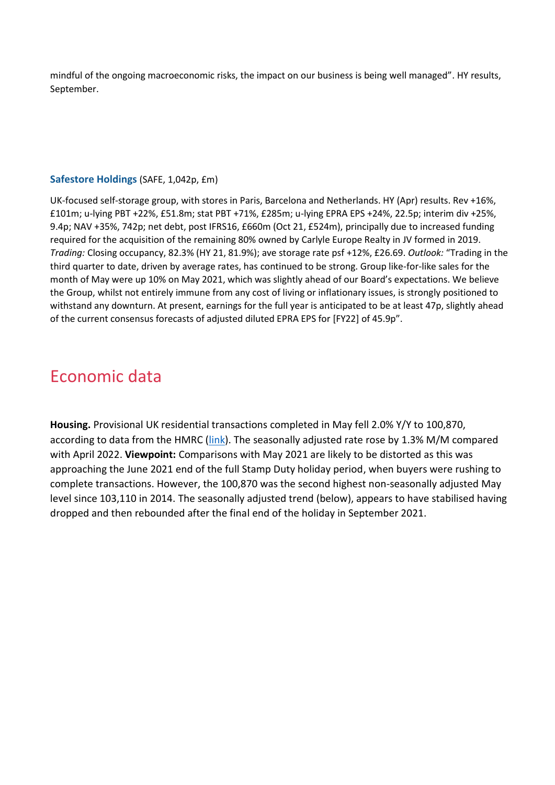mindful of the ongoing macroeconomic risks, the impact on our business is being well managed". HY results, September.

#### **Safestore Holdings** (SAFE, 1,042p, £m)

UK-focused self-storage group, with stores in Paris, Barcelona and Netherlands. HY (Apr) results. Rev +16%, £101m; u-lying PBT +22%, £51.8m; stat PBT +71%, £285m; u-lying EPRA EPS +24%, 22.5p; interim div +25%, 9.4p; NAV +35%, 742p; net debt, post IFRS16, £660m (Oct 21, £524m), principally due to increased funding required for the acquisition of the remaining 80% owned by Carlyle Europe Realty in JV formed in 2019. *Trading:* Closing occupancy, 82.3% (HY 21, 81.9%); ave storage rate psf +12%, £26.69. *Outlook:* "Trading in the third quarter to date, driven by average rates, has continued to be strong. Group like-for-like sales for the month of May were up 10% on May 2021, which was slightly ahead of our Board's expectations. We believe the Group, whilst not entirely immune from any cost of living or inflationary issues, is strongly positioned to withstand any downturn. At present, earnings for the full year is anticipated to be at least 47p, slightly ahead of the current consensus forecasts of adjusted diluted EPRA EPS for [FY22] of 45.9p".

### Economic data

**Housing.** Provisional UK residential transactions completed in May fell 2.0% Y/Y to 100,870, according to data from the HMRC [\(link\)](https://www.gov.uk/government/statistics/monthly-property-transactions-completed-in-the-uk-with-value-40000-or-above/uk-monthly-property-transactions-commentary). The seasonally adjusted rate rose by 1.3% M/M compared with April 2022. **Viewpoint:** Comparisons with May 2021 are likely to be distorted as this was approaching the June 2021 end of the full Stamp Duty holiday period, when buyers were rushing to complete transactions. However, the 100,870 was the second highest non-seasonally adjusted May level since 103,110 in 2014. The seasonally adjusted trend (below), appears to have stabilised having dropped and then rebounded after the final end of the holiday in September 2021.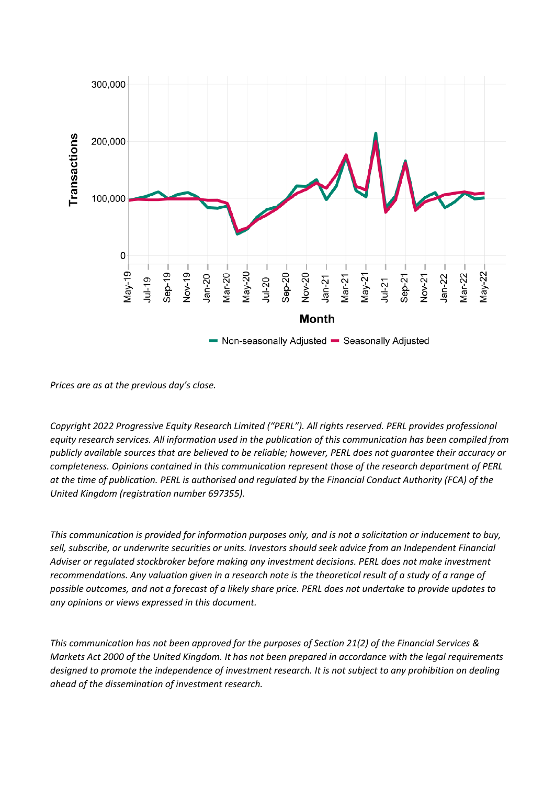

*Prices are as at the previous day's close.* 

*Copyright 2022 Progressive Equity Research Limited ("PERL"). All rights reserved. PERL provides professional equity research services. All information used in the publication of this communication has been compiled from publicly available sources that are believed to be reliable; however, PERL does not guarantee their accuracy or completeness. Opinions contained in this communication represent those of the research department of PERL at the time of publication. PERL is authorised and regulated by the Financial Conduct Authority (FCA) of the United Kingdom (registration number 697355).* 

*This communication is provided for information purposes only, and is not a solicitation or inducement to buy,*  sell, subscribe, or underwrite securities or units. Investors should seek advice from an Independent Financial *Adviser or regulated stockbroker before making any investment decisions. PERL does not make investment recommendations. Any valuation given in a research note is the theoretical result of a study of a range of possible outcomes, and not a forecast of a likely share price. PERL does not undertake to provide updates to any opinions or views expressed in this document.* 

*This communication has not been approved for the purposes of Section 21(2) of the Financial Services & Markets Act 2000 of the United Kingdom. It has not been prepared in accordance with the legal requirements designed to promote the independence of investment research. It is not subject to any prohibition on dealing ahead of the dissemination of investment research.*